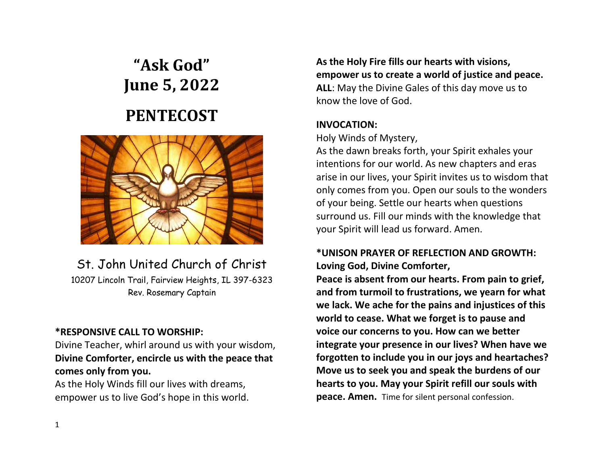# **"Ask God" June 5, 2022 PENTECOST**



# St. John United Church of Christ 10207 Lincoln Trail, Fairview Heights, IL 397-6323 Rev. Rosemary Captain

## **\*RESPONSIVE CALL TO WORSHIP:**

Divine Teacher, whirl around us with your wisdom, **Divine Comforter, encircle us with the peace that comes only from you.**

As the Holy Winds fill our lives with dreams, empower us to live God's hope in this world. **As the Holy Fire fills our hearts with visions, empower us to create a world of justice and peace. ALL**: May the Divine Gales of this day move us to know the love of God.

# **INVOCATION:**

Holy Winds of Mystery,

As the dawn breaks forth, your Spirit exhales your intentions for our world. As new chapters and eras arise in our lives, your Spirit invites us to wisdom that only comes from you. Open our souls to the wonders of your being. Settle our hearts when questions surround us. Fill our minds with the knowledge that your Spirit will lead us forward. Amen.

# **\*UNISON PRAYER OF REFLECTION AND GROWTH: Loving God, Divine Comforter,**

**Peace is absent from our hearts. From pain to grief, and from turmoil to frustrations, we yearn for what we lack. We ache for the pains and injustices of this world to cease. What we forget is to pause and voice our concerns to you. How can we better integrate your presence in our lives? When have we forgotten to include you in our joys and heartaches? Move us to seek you and speak the burdens of our hearts to you. May your Spirit refill our souls with peace. Amen.** Time for silent personal confession.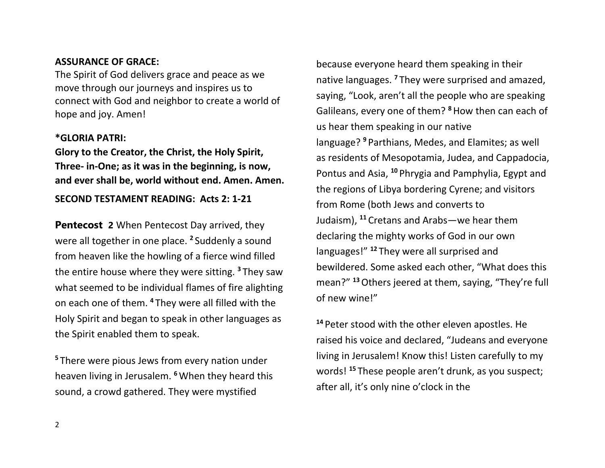## **ASSURANCE OF GRACE:**

The Spirit of God delivers grace and peace as we move through our journeys and inspires us to connect with God and neighbor to create a world of hope and joy. Amen!

## **\*GLORIA PATRI:**

**Glory to the Creator, the Christ, the Holy Spirit, Three- in-One; as it was in the beginning, is now, and ever shall be, world without end. Amen. Amen.**

## **SECOND TESTAMENT READING: Acts 2: 1-21**

**Pentecost 2** When Pentecost Day arrived, they were all together in one place. **<sup>2</sup>** Suddenly a sound from heaven like the howling of a fierce wind filled the entire house where they were sitting. **<sup>3</sup>** They saw what seemed to be individual flames of fire alighting on each one of them. **<sup>4</sup>** They were all filled with the Holy Spirit and began to speak in other languages as the Spirit enabled them to speak.

**<sup>5</sup>** There were pious Jews from every nation under heaven living in Jerusalem. **<sup>6</sup>**When they heard this sound, a crowd gathered. They were mystified

because everyone heard them speaking in their native languages. **<sup>7</sup>** They were surprised and amazed, saying, "Look, aren't all the people who are speaking Galileans, every one of them? **<sup>8</sup>**How then can each of us hear them speaking in our native language? **<sup>9</sup>** Parthians, Medes, and Elamites; as well as residents of Mesopotamia, Judea, and Cappadocia, Pontus and Asia, **<sup>10</sup>** Phrygia and Pamphylia, Egypt and the regions of Libya bordering Cyrene; and visitors from Rome (both Jews and converts to Judaism), **<sup>11</sup>** Cretans and Arabs—we hear them declaring the mighty works of God in our own languages!" **<sup>12</sup>** They were all surprised and bewildered. Some asked each other, "What does this mean?" **<sup>13</sup>**Others jeered at them, saying, "They're full of new wine!"

**<sup>14</sup>** Peter stood with the other eleven apostles. He raised his voice and declared, "Judeans and everyone living in Jerusalem! Know this! Listen carefully to my words! **<sup>15</sup>** These people aren't drunk, as you suspect; after all, it's only nine o'clock in the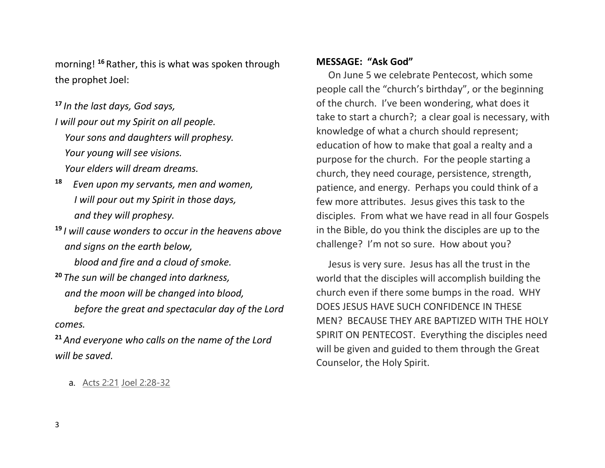morning! **<sup>16</sup>** Rather, this is what was spoken through the prophet Joel:

**<sup>17</sup>** *In the last days, God says,*

*I will pour out my Spirit on all people. Your sons and daughters will prophesy. Your young will see visions. Your elders will dream dreams.*

- **18** *Even upon my servants, men and women, I will pour out my Spirit in those days, and they will prophesy.*
- **<sup>19</sup>** *I will cause wonders to occur in the heavens above and signs on the earth below,*

*blood and fire and a cloud of smoke.*

**<sup>20</sup>** *The sun will be changed into darkness, and the moon will be changed into blood,*

 *before the great and spectacular day of the Lord comes.*

**<sup>21</sup>** *And everyone who calls on the name of the Lord will be saved.*

a. [Acts 2:21](https://www.biblegateway.com/passage/?search=Acts+2%3A1-21&version=CEB#en-CEB-26959) [Joel 2:28-32](https://www.biblegateway.com/passage/?search=Joel.2.28-Joel.2.32&version=CEB)

# **MESSAGE: "Ask God"**

 On June 5 we celebrate Pentecost, which some people call the "church's birthday", or the beginning of the church. I've been wondering, what does it take to start a church?; a clear goal is necessary, with knowledge of what a church should represent; education of how to make that goal a realty and a purpose for the church. For the people starting a church, they need courage, persistence, strength, patience, and energy. Perhaps you could think of a few more attributes. Jesus gives this task to the disciples. From what we have read in all four Gospels in the Bible, do you think the disciples are up to the challenge? I'm not so sure. How about you?

 Jesus is very sure. Jesus has all the trust in the world that the disciples will accomplish building the church even if there some bumps in the road. WHY DOES JESUS HAVE SUCH CONFIDENCE IN THESE MEN? BECAUSE THEY ARE BAPTIZED WITH THE HOLY SPIRIT ON PENTECOST. Everything the disciples need will be given and guided to them through the Great Counselor, the Holy Spirit.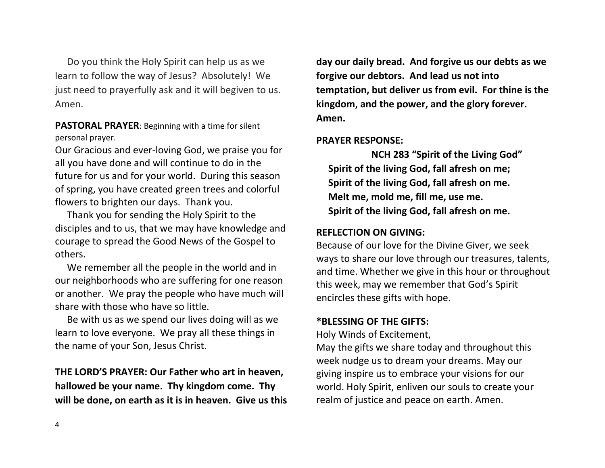Do you think the Holy Spirit can help us as we learn to follow the way of Jesus? Absolutely! We just need to prayerfully ask and it will begiven to us. Amen.

**PASTORAL PRAYER**: Beginning with a time for silent personal prayer.

Our Gracious and ever-loving God, we praise you for all you have done and will continue to do in the future for us and for your world. During this season of spring, you have created green trees and colorful flowers to brighten our days. Thank you.

 Thank you for sending the Holy Spirit to the disciples and to us, that we may have knowledge and courage to spread the Good News of the Gospel to others.

 We remember all the people in the world and in our neighborhoods who are suffering for one reason or another. We pray the people who have much will share with those who have so little.

 Be with us as we spend our lives doing will as we learn to love everyone. We pray all these things in the name of your Son, Jesus Christ.

# **THE LORD'S PRAYER: Our Father who art in heaven, hallowed be your name. Thy kingdom come. Thy will be done, on earth as it is in heaven. Give us this**

**day our daily bread. And forgive us our debts as we forgive our debtors. And lead us not into temptation, but deliver us from evil. For thine is the kingdom, and the power, and the glory forever. Amen.**

#### **PRAYER RESPONSE:**

**NCH 283 "Spirit of the Living God" Spirit of the living God, fall afresh on me; Spirit of the living God, fall afresh on me. Melt me, mold me, fill me, use me. Spirit of the living God, fall afresh on me.**

## **REFLECTION ON GIVING:**

Because of our love for the Divine Giver, we seek ways to share our love through our treasures, talents, and time. Whether we give in this hour or throughout this week, may we remember that God's Spirit encircles these gifts with hope.

## **\*BLESSING OF THE GIFTS:**

Holy Winds of Excitement,

May the gifts we share today and throughout this week nudge us to dream your dreams. May our giving inspire us to embrace your visions for our world. Holy Spirit, enliven our souls to create your realm of justice and peace on earth. Amen.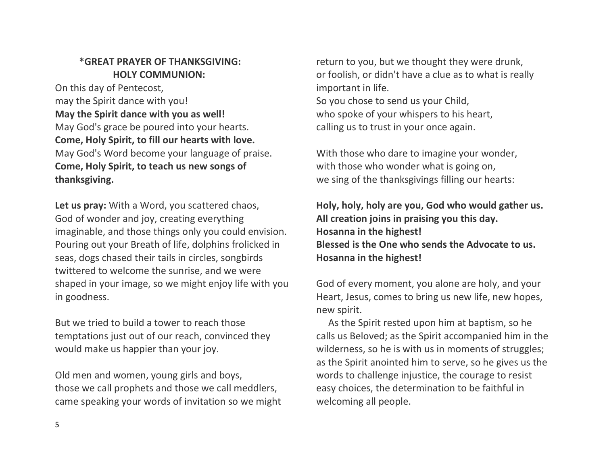# **\*GREAT PRAYER OF THANKSGIVING: HOLY COMMUNION:**

On this day of Pentecost, may the Spirit dance with you! **May the Spirit dance with you as well!** May God's grace be poured into your hearts. **Come, Holy Spirit, to fill our hearts with love.** May God's Word become your language of praise. **Come, Holy Spirit, to teach us new songs of thanksgiving.**

**Let us pray:** With a Word, you scattered chaos, God of wonder and joy, creating everything imaginable, and those things only you could envision. Pouring out your Breath of life, dolphins frolicked in seas, dogs chased their tails in circles, songbirds twittered to welcome the sunrise, and we were shaped in your image, so we might enjoy life with you in goodness.

But we tried to build a tower to reach those temptations just out of our reach, convinced they would make us happier than your joy.

Old men and women, young girls and boys, those we call prophets and those we call meddlers, came speaking your words of invitation so we might return to you, but we thought they were drunk, or foolish, or didn't have a clue as to what is really important in life. So you chose to send us your Child, who spoke of your whispers to his heart, calling us to trust in your once again.

With those who dare to imagine your wonder, with those who wonder what is going on, we sing of the thanksgivings filling our hearts:

**Holy, holy, holy are you, God who would gather us. All creation joins in praising you this day. Hosanna in the highest! Blessed is the One who sends the Advocate to us. Hosanna in the highest!**

God of every moment, you alone are holy, and your Heart, Jesus, comes to bring us new life, new hopes, new spirit.

 As the Spirit rested upon him at baptism, so he calls us Beloved; as the Spirit accompanied him in the wilderness, so he is with us in moments of struggles; as the Spirit anointed him to serve, so he gives us the words to challenge injustice, the courage to resist easy choices, the determination to be faithful in welcoming all people.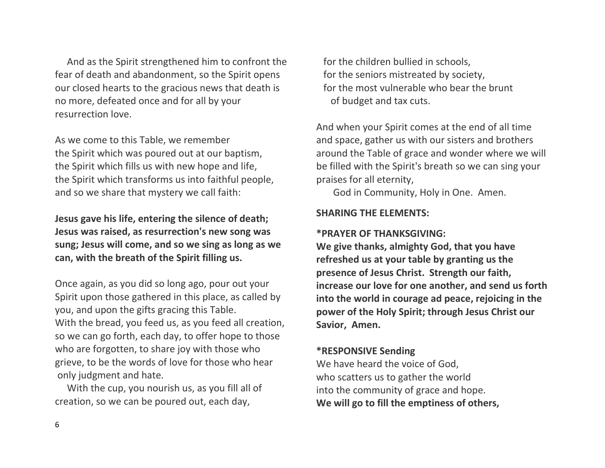And as the Spirit strengthened him to confront the fear of death and abandonment, so the Spirit opens our closed hearts to the gracious news that death is no more, defeated once and for all by your resurrection love.

As we come to this Table, we remember the Spirit which was poured out at our baptism, the Spirit which fills us with new hope and life, the Spirit which transforms us into faithful people, and so we share that mystery we call faith:

**Jesus gave his life, entering the silence of death; Jesus was raised, as resurrection's new song was sung; Jesus will come, and so we sing as long as we can, with the breath of the Spirit filling us.**

Once again, as you did so long ago, pour out your Spirit upon those gathered in this place, as called by you, and upon the gifts gracing this Table. With the bread, you feed us, as you feed all creation, so we can go forth, each day, to offer hope to those who are forgotten, to share joy with those who grieve, to be the words of love for those who hear only judgment and hate.

 With the cup, you nourish us, as you fill all of creation, so we can be poured out, each day,

for the children bullied in schools, for the seniors mistreated by society, for the most vulnerable who bear the brunt of budget and tax cuts.

And when your Spirit comes at the end of all time and space, gather us with our sisters and brothers around the Table of grace and wonder where we will be filled with the Spirit's breath so we can sing your praises for all eternity,

God in Community, Holy in One. Amen.

## **SHARING THE ELEMENTS:**

## **\*PRAYER OF THANKSGIVING:**

**We give thanks, almighty God, that you have refreshed us at your table by granting us the presence of Jesus Christ. Strength our faith, increase our love for one another, and send us forth into the world in courage ad peace, rejoicing in the power of the Holy Spirit; through Jesus Christ our Savior, Amen.**

## **\*RESPONSIVE Sending**

We have heard the voice of God. who scatters us to gather the world into the community of grace and hope. **We will go to fill the emptiness of others,**